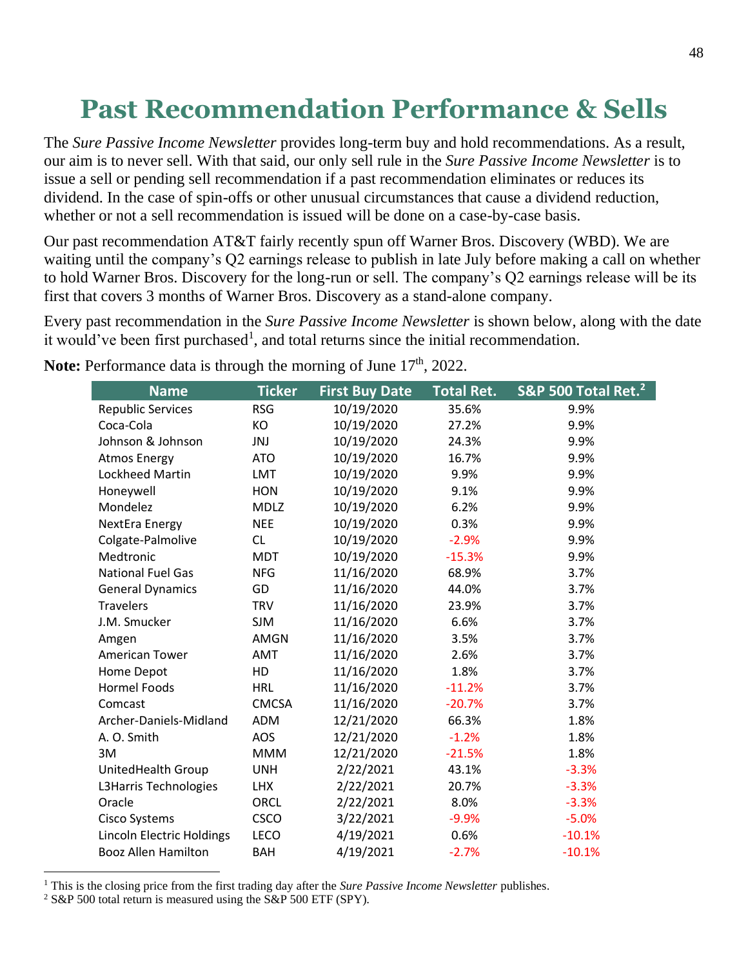## **Past Recommendation Performance & Sells**

The *Sure Passive Income Newsletter* provides long-term buy and hold recommendations. As a result, our aim is to never sell. With that said, our only sell rule in the *Sure Passive Income Newsletter* is to issue a sell or pending sell recommendation if a past recommendation eliminates or reduces its dividend. In the case of spin-offs or other unusual circumstances that cause a dividend reduction, whether or not a sell recommendation is issued will be done on a case-by-case basis.

Our past recommendation AT&T fairly recently spun off Warner Bros. Discovery (WBD). We are waiting until the company's Q2 earnings release to publish in late July before making a call on whether to hold Warner Bros. Discovery for the long-run or sell. The company's Q2 earnings release will be its first that covers 3 months of Warner Bros. Discovery as a stand-alone company.

Every past recommendation in the *Sure Passive Income Newsletter* is shown below, along with the date it would've been first purchased<sup>1</sup>, and total returns since the initial recommendation.

| <b>Name</b>                      | <b>Ticker</b> | <b>First Buy Date</b> | <b>Total Ret.</b> | S&P 500 Total Ret. <sup>2</sup> |
|----------------------------------|---------------|-----------------------|-------------------|---------------------------------|
| <b>Republic Services</b>         | <b>RSG</b>    | 10/19/2020            | 35.6%             | 9.9%                            |
| Coca-Cola                        | KO            | 10/19/2020            | 27.2%             | 9.9%                            |
| Johnson & Johnson                | JNJ           | 10/19/2020            | 24.3%             | 9.9%                            |
| <b>Atmos Energy</b>              | <b>ATO</b>    | 10/19/2020            | 16.7%             | 9.9%                            |
| Lockheed Martin                  | <b>LMT</b>    | 10/19/2020            | 9.9%              | 9.9%                            |
| Honeywell                        | <b>HON</b>    | 10/19/2020            | 9.1%              | 9.9%                            |
| Mondelez                         | <b>MDLZ</b>   | 10/19/2020            | 6.2%              | 9.9%                            |
| NextEra Energy                   | <b>NEE</b>    | 10/19/2020            | 0.3%              | 9.9%                            |
| Colgate-Palmolive                | <b>CL</b>     | 10/19/2020            | $-2.9%$           | 9.9%                            |
| Medtronic                        | <b>MDT</b>    | 10/19/2020            | $-15.3%$          | 9.9%                            |
| <b>National Fuel Gas</b>         | <b>NFG</b>    | 11/16/2020            | 68.9%             | 3.7%                            |
| <b>General Dynamics</b>          | GD            | 11/16/2020            | 44.0%             | 3.7%                            |
| <b>Travelers</b>                 | <b>TRV</b>    | 11/16/2020            | 23.9%             | 3.7%                            |
| J.M. Smucker                     | <b>SJM</b>    | 11/16/2020            | 6.6%              | 3.7%                            |
| Amgen                            | <b>AMGN</b>   | 11/16/2020            | 3.5%              | 3.7%                            |
| American Tower                   | <b>AMT</b>    | 11/16/2020            | 2.6%              | 3.7%                            |
| Home Depot                       | HD            | 11/16/2020            | 1.8%              | 3.7%                            |
| <b>Hormel Foods</b>              | <b>HRL</b>    | 11/16/2020            | $-11.2%$          | 3.7%                            |
| Comcast                          | <b>CMCSA</b>  | 11/16/2020            | $-20.7%$          | 3.7%                            |
| Archer-Daniels-Midland           | ADM           | 12/21/2020            | 66.3%             | 1.8%                            |
| A. O. Smith                      | AOS           | 12/21/2020            | $-1.2%$           | 1.8%                            |
| 3M                               | <b>MMM</b>    | 12/21/2020            | $-21.5%$          | 1.8%                            |
| UnitedHealth Group               | <b>UNH</b>    | 2/22/2021             | 43.1%             | $-3.3%$                         |
| L3Harris Technologies            | <b>LHX</b>    | 2/22/2021             | 20.7%             | $-3.3%$                         |
| Oracle                           | ORCL          | 2/22/2021             | 8.0%              | $-3.3%$                         |
| Cisco Systems                    | <b>CSCO</b>   | 3/22/2021             | $-9.9%$           | $-5.0%$                         |
| <b>Lincoln Electric Holdings</b> | LECO          | 4/19/2021             | 0.6%              | $-10.1%$                        |
| <b>Booz Allen Hamilton</b>       | <b>BAH</b>    | 4/19/2021             | $-2.7%$           | $-10.1%$                        |

Note: Performance data is through the morning of June 17<sup>th</sup>, 2022.

<sup>&</sup>lt;sup>1</sup> This is the closing price from the first trading day after the *Sure Passive Income Newsletter* publishes.

<sup>2</sup> S&P 500 total return is measured using the S&P 500 ETF (SPY).